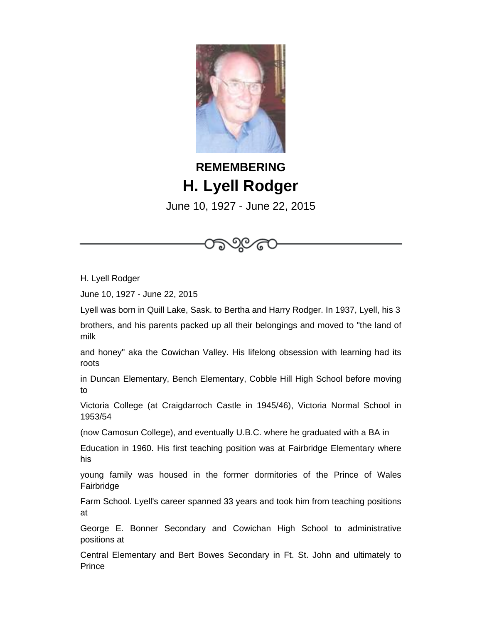

## **REMEMBERING H. Lyell Rodger**

June 10, 1927 - June 22, 2015

೧೯೬



June 10, 1927 - June 22, 2015

Lyell was born in Quill Lake, Sask. to Bertha and Harry Rodger. In 1937, Lyell, his 3

brothers, and his parents packed up all their belongings and moved to "the land of milk

and honey" aka the Cowichan Valley. His lifelong obsession with learning had its roots

in Duncan Elementary, Bench Elementary, Cobble Hill High School before moving to

Victoria College (at Craigdarroch Castle in 1945/46), Victoria Normal School in 1953/54

(now Camosun College), and eventually U.B.C. where he graduated with a BA in

Education in 1960. His first teaching position was at Fairbridge Elementary where his

young family was housed in the former dormitories of the Prince of Wales Fairbridge

Farm School. Lyell's career spanned 33 years and took him from teaching positions at

George E. Bonner Secondary and Cowichan High School to administrative positions at

Central Elementary and Bert Bowes Secondary in Ft. St. John and ultimately to **Prince**